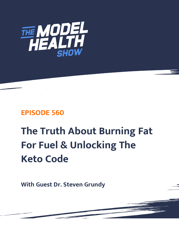

# **EPISODE 560**

# **The Truth About Burning Fat For Fuel & Unlocking The Keto Code**

**With Guest Dr. Steven Grundy**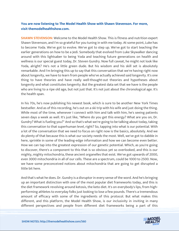## **You are now listening to The Model Health Show with Shawn Stevenson. For more, visit themodelhealthshow.com.**

**SHAWN STEVENSON:** Welcome to the Model Health Show. This is fitness and nutrition expert Shawn Stevenson, and I'm so grateful for you tuning in with me today. At some point, Luke has to become Yoda. We've got to evolve. We've got to step up. We've got to start teaching the earlier generations on how to be a Jedi. Somebody that evolved from Luke Skywalker dancing around with this lightsaber to being Yoda and teaching future generations on health and wellness is our special guest today, Dr. Steven Gundry. Now full caveat, he might not look like Yoda, alright? He's not a little green dude. But his wisdom and his skill set is absolutely remarkable. And I'm bringing this up to say that this conversation that we're having right now about longevity, we have to learn from people who've actually achieved said longevity. It's one thing to have theories and have really well-thought-out theories and hypotheses about longevity and what constitutes longevity. But the greatest data set that we have is the people who are living to a ripe old age, but not just that. It's not just about the chronological age. It's the health span.

In his 70s, he's now publishing his newest book, which is sure to be another New York Times bestseller. And as of this recording, he's out on a ski trip with his wife and just doing the thing. While most of the time, whenever I connect with him and talk with him, he's seeing patients seven days a week as well. It's just like, "Where do you get this energy? What are you on, Dr. Gundry? What is fueling you?" And so that's what we're going to be talking about today, taking this conversation to that superhuman level, right? So, tapping into what is our potential. With a lot of the conversation that we need to focus on right now is the basics, absolutely. And we do plenty of that because this is what our society needs the most. Well, we've got to dabble in here, sprinkle in some of the leading-edge information and how we can become even better. How we can tap into the greatest expression of our genetic potential. Which, as you're going to discover, there's a component to this that is so obvious yet so overlooked, and this is our mighty, mighty mitochondria, these ancient organelles that exist. We've got upwards of 2000, even 3000 mitochondria in all of our cells. These are a spectrum, could be 1000 to 2500. Now, we have some preconceived notions about mitochondria that are going to get disrupted a little bit here.

And that's what he does. Dr. Gundry is a disruptor in every sense of the word. And he's bringing up an important distinction with one of the most popular diet frameworks today, and this is the diet framework revolving around ketosis, the keto diet. It's on everybody's lips, from highperforming athletes to everyday folks just looking to lose a few pounds. There's a tremendous amount of efficacy with some of the ingredients of this protocol. But what makes this different, and this platform, the Model Health Show, is our inclusivity in inviting in many [different perspectives and people from different diet frameworks being a part of this](https://themodelhealthshow.com/podcasts/dr-steven-gundry-keto-code/)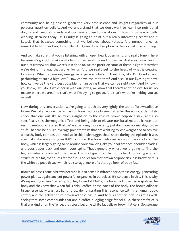community and being able to glean the very best science and insights regardless of our personal nutrition beliefs. And we understand that we don't want to lean into nutritional dogma and keep our minds and our hearts open to variations in how things are actually working. Because today, Dr. Gundry is going to point out a really interesting secret about ketosis that bypasses something that we believed about ketosis. And number one, it's remarkable. Number two, it's a little bit... Again, it's a disruption to the normal programming.

And so, make sure that you're listening with an open heart, open mind, and really tune in here because it's going to make a whole lot of sense at the end of the day. And also, regardless of our diet framework that we're subscribed to, we can partition some of these insights into what we're doing in a way that works for us. And we really get to the heart of what is creating longevity. What is creating energy in a person who's in their 70s, like Dr. Gundry, and performing at such a high level? How can we aspire to that? And also, in our lives right now, how can we be the very best possible human being that we can be right now? And I know if you know, like I do, if we check in with ourselves, we know that there's another level for us, no matter where we are. And that's what I'm trying to get to. And that's what I'm inviting you to, as well.

Now, during this conversation, we're going to touch on, very lightly, the topic of brown adipose tissue. We did an entire masterclass on brown adipose tissue that, after this episode, definitely check that one out. It's so much insight on to the role of brown adipose tissue, and also specifically this thermogenic effect and being able to elevate our basal metabolic rate, our resting metabolic rate, so that we're expending more energy just doing our normal day-to-day stuff. That can be a huge leverage point for folks that are wanting to lose weight and to achieve a healthy body composition. And so, in this little nugget that I share during the episode, it was scientists who were using an fMRI to look at the brown adipose tissue primary spots on the body, which is largely going to be around your clavicles, aka your collarbones, shoulder blades, and your upper back and down your spine. That's generally where we're going to find the highest ratio of brown adipose tissue. This is a type of fat that burns fat. This is a type of fat, structurally a fat, that burns fat for fuel. The reason that brown adipose tissue is brown versus the white adipose tissue, which is a storage, more of a storage form of body fat...

Brown adipose tissue is brown because it is so dense in mitochondria, these energy-generating power plants, again, ancient powerful organelles in ourselves. It's so dense in this. This is why it's expending so much energy. So, they looked at FMRIs, the brown adipose tissue spots in the body and they saw that when folks drink coffee, these parts of the body, the brown adipose tissue, essentially was just lighting up, demonstrating this resonance with the human body, coffee, and the activation of brown adipose tissue. And here's another little insight as well, seeing that some compounds that are in coffee nudging beige fat cells. So, these are fat cells [that are kind of on the fence, that could become white fat cells or brown fat cells. So, storage](https://themodelhealthshow.com/podcasts/dr-steven-gundry-keto-code/)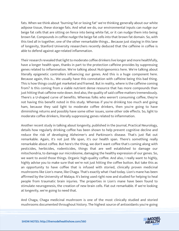fats. When we think about "burning fat or losing fat" we're thinking generally about our white adipose tissue, these storage fats. And what we do, our environmental inputs can nudge our beige fat cells that are sitting on fence into being white fat, or it can nudge them into being brown fat. Compounds in coffee nudge the beige fat cells into that brown fat domain. So, with this tied all in together, one of the other remarkable things... Because just staying in this lane of longevity, Stanford University researchers recently deduced that the caffeine in coffee is able to defend against age-related inflammation.

Their research revealed that light to moderate coffee drinkers live longer and more healthfully, have a longer health span, thanks in part to the protection caffeine provides by suppressing genes related to inflammation. We're talking about Nutrigenomics here. We're talking about literally epigenetic controllers influencing our genes. And this is a huge component here. Because again, this is... We usually have this connotation with caffeine being this bad thing. This is how things could get marketed and framed. But in reality, where is the caffeine coming from? Is this coming from a viable nutrient dense resource that has more compounds than just hitting that caffeine note down. And also, the quality of said coffee matters tremendously. There's a U-shaped curve of benefits. Whereas folks who weren't consuming coffee, they're not having this benefit noted in this study. Whereas if you're drinking too much and going ham, because they said light to moderate coffee drinkers, then you're going to have diminishing returns and possibly have some other issues, some other side effects. So, light to moderate coffee drinkers, literally suppressing genes related to inflammation.

Another recent study in talking about longevity, published in the Journal, Practical Neurology, details how regularly drinking coffee has been shown to help prevent cognitive decline and reduce the risk of developing Alzheimer's and Parkinson's disease. That's just flat out remarkable. Again, it's not just life span, it's our health span. There's something really remarkable about coffee. But here's the thing, we don't want coffee that's coming along with pesticides, herbicides, rodenticides, things that are well established to damage our mitochondria, to damage our microbiome, damaging the healthy expression of our genes. So, we want to avoid those things. Organic high-quality coffee. And also, I really want to highly, highly advise you to make sure that we're not just hitting the coffee button. But take this as an opportunity to have coffee that is infused with storied, clinically proven medicinal mushrooms like Lion's mane, like Chaga. That's exactly what I had today. Lion's mane has been affirmed by the University of Malaya. It's being used right now and studied for helping to heal people from traumatic brain injuries. The properties in Lion's mane have been found to stimulate neurogenesis, the creation of new brain cells. Flat out remarkable. If we're looking at longevity, we're going to need that.

And Chaga, Chaga medicinal mushroom is one of the most clinically studied and storied [mushrooms documented throughout history. The highest source of antioxidants you](https://themodelhealthshow.com/podcasts/dr-steven-gundry-keto-code/)'[re going](https://themodelhealthshow.com/podcasts/dr-steven-gundry-keto-code/)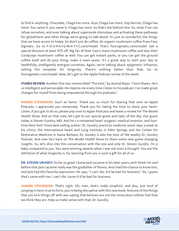to find in anything. Chocolate, Chaga has more. Acai, Chaga has more. Goji berries, Chaga has more. You name it, you name it, Chaga has more. So that's the bottom line. So, what if we can infuse ourselves, and even talking about superoxide dismutase and activating these pathways for glutathione and other things we're going to talk about. It's just so wonderful, the things that we have access to today. So don't just do coffee, do organic mushroom coffee from Four Sigmatic. Go to F-O-U-R-S-I-G-M-A-T-I-C.com/model. That's foursigmatic.com/model. Get a special discount at least 10% off. Big fan of their Lion's mane mushroom coffee and also their Cordyceps mushroom coffee as well. You can get instant packs, or you can get the ground coffee itself and do your thing, make it even sexier. It's a great way to start your day to healthfully, intelligently energize ourselves. Again, we're talking about epigenetic influence, setting the template for longevity. There's nothing better than that. Go to foursigmatic.com/model. Now, let's get to the Apple Podcast review of the week.

**ITUNES REVIEW:** Another five-star review titled "The best," by Asorial Rojas. "I love Shawn. He's so intelligent and personable. He inspires me every time I listen to his podcast. I've made great changes for myself from being empowered through his podcasts."

**SHAWN STEVENSON:** Such an honor. Thank you so much for sharing that over on Apple Podcasts. I appreciate you immensely. Thank you for taking the time to share your heart. Listen, if you got to do so, please pop over to Apple Podcasts and leave a review for The Model Health Show. And on that note, let's get to our special guest and topic of the day. Our guest today is Steven Gundry, MD. And he's a renowned heart surgeon, medical inventor, and fourtime New York Times best-selling author. Dr. Gundry practices medicine seven days a week at his clinics, the International Heart and Lung Institute in Palm Springs and the Center for Restorative Medicine in Santa Barbara. Dr. Gundry is also the host of the weekly Dr. Gundry Podcast. And now he's back on The Model Health Show to share some new game-changing insights. So, let's dive into this conversation with the one and only Dr. Steven Gundry. I'm a baby compared to you. You were winning awards when I was not even a thought. You are the definition of what longevity is. So, learning from you is such a gift for all of us.

**DR. STEVEN GRUNDY:** So far so good. I knew Jack LaLanne in his later years, and I think I've said before that Jack LaLanne really was the godfather of fitness. And I had the chance to know him, and Jack had this favorite expression. He says, "I can't die, it'd be bad for business." So, I guess that's same with me. I can't die 'cause it'd be bad for business.

**SHAWN STEVENSON:** That's right. Oh, man, that's really simplistic and also, just kind of jumping in here, true to form, you're being disruptive with this new book. And one of the things that you kick things off with was saying that ketones are not the miraculous cellular fuel that we think they are. Help us make sense with that, Dr. Gundry.

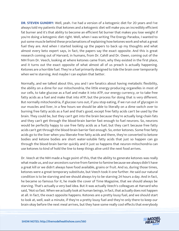**DR. STEVEN GUNDRY:** Well, yeah. I've had a version of a ketogenic diet for 20 years and I've always told my patients that ketones and a ketogenic diet will make you an incredibly efficient fat burner and it's that ability to become an efficient fat burner that makes you lose weight if you're doing a ketogenic diet right. Well, when I was writing The Energy Paradox, I wanted to put some muscle behind these proclamations of explaining how ketones work and what a great fuel they are. And when I started looking up the papers to back up my thoughts and what almost every keto expert says, in fact, the papers say the exact opposite. And this is great research coming out of Harvard, in humans, from Dr. Cahill and Dr. Owen, coming out of the NIH from Dr. Veech, looking at where ketones came from, why they existed in the first place, and it turns out the exact opposite of what almost all of us preach is actually happening. Ketones are a horrible fuel. They're a fuel primarily designed to tide the brain over temporarily when we're starving. And maybe I can explain that better.

Normally, and we talked about this, you and I are fanatics about having metabolic flexibility, the ability on a dime for our mitochondria, the little energy-producing organelles in most of our cells, to take glucose as a fuel and make it into ATP, our energy currency, or to take free fatty acids as a fuel and make that into ATP, but the process for doing that is very different. But normally mitochondria, if glucose runs out, if you stop eating, if we run out of glycogen in our muscles and liver, in a few hours we should be able to literally on a dime switch over to burning free fatty acids as a fuel and that's good, except free fatty acids can't be used by the brain. They could be, but they can't get into the brain because they're actually long-chain fats and they can't get through the blood-brain barrier fast enough to fuel neurons. So, neurons would be perfectly happy to use free fatty acids as a fuel, but they can't because free fatty acids can't get through the blood-brain barrier fast enough. So, enter ketones. Some free fatty acids go to the liver when you liberate free fatty acids and there, they're converted to ketone bodies and ketone bodies are short water-soluble fatty acids that just so happen can go through the blood-brain barrier quickly and it just so happens that neuron-mitochondria can use ketones to kind of hold the line to keep things alive until the next food arrives.

Dr. Veech at the NIH made a huge point of this, that the ability to generate ketones was really what made us, and our ancestors survive from famine to famine because we always didn't have a great kill or we didn't always have food available, grains or fruit. And so, during those times, ketones were a great temporary substitute, but Veech took it one further. He said our natural condition is to be starving and we should always try to be starving 24 hours a day. And in fact, he became so famous for it, he made the cover of Time Magazine, that we should always be starving. That's actually a very bad idea. But it was actually Veech's colleagues at Harvard who said, "Not so fast. When we actually look at human beings, in fact, that actually does not happen at all. In fact, the exact opposite happens. Ketones are a pretty lousy fuel, and we should start to look at, well, wait a minute, if they're a pretty lousy fuel and they're only there to keep our [brain okay before the next meal arrives, but they have some really cool effects that everybody](https://themodelhealthshow.com/podcasts/dr-steven-gundry-keto-code/)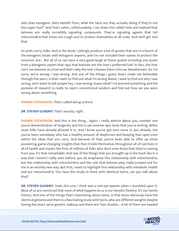who does ketogenic diets benefit from, what the heck are they actually doing if they're not this super fuel?" And that's when, unfortunately, I ran down this rabbit hole and realized that ketones are really incredibly signaling compounds. They're signaling agents that tell mitochondria that times are rough and to protect themselves at all costs. And we'll get into that.

So yeah, sorry, folks. And in the book, I jokingly produce a lot of quotes that are in a bunch of the ketogenic books with ketogenic experts, and I've not included their names to protect the innocent, but... But all of us can have a very good laugh at those quotes including one quote from a ketogenic expert that says that ketones are the liver's preferred fuel. In fact, the liver can't use ketones as a fuel and that's why the liver releases them into our bloodstream. So, I'm sorry, we're wrong, I was wrong. And one of the things I guess that's made me believable through the years, is that I want to find out what I'm wrong about, I want to find out why I was wrong, and I want to tell people hey, I was wrong. Guess what? I've learned something and the purpose of research is really to reject conventional wisdom and find out how we you were wrong about something.

**SHAWN STEVENSON:** That's called doing science.

### **DR. STEVEN GUNDRY:** That's exactly, right.

**SHAWN STEVENSON:** And this is the thing... Again, I really admire about you, number one you're demonstration of longevity and this is yet another epic book that you're writing. When most folks have already phoned it in. And I know you've got tons more in you already, but you've been somebody who has a healthy amount of skepticism and keeping that open even within the ideas that you carry. And because of that, you've been able to offer up some pioneering game-changing insights that then trickle themselves throughout all of nutrition in all of health and impact the lives of millions of folks who don't even know that they're coming from you, it's that remarkable. And one of the things that you brought up in the book like in a way that I haven't really seen before, you do emphasize this relationship with mitochondria, but the relationship with mitochondria and the role that ketones play really jumped out for me in an entirely new way. But first, I want to highlight this relationship with metabolic health and our mitochondria. You have this study in there with identical twins, can you talk about that?

**DR. STEVEN GUNDRY:** Yeah, this one, I think was a real eye-opener when I stumbled upon it. Most of us are convinced that most of what happens to us is our Genetic Destiny. It's our family history. And one of the things that's interesting about twins, is that twins obviously have the identical genome and there is a fascinating study with twins, who are different weights despite [having the exact same genetic makeup and there are Twin Studies... A lot of them are headed](https://themodelhealthshow.com/podcasts/dr-steven-gundry-keto-code/)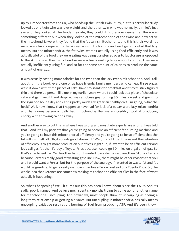up by Tim Spector from the UK, who heads up the British Twin Study, but this particular study looked at one twin who was overweight and the other twin who was normally, thin let's just say and they looked at the foods they ate, they couldn't find any evidence that there was something different but when they looked at the mitochondria of the twins and how active the mitochondria were, they found that the fat twins mitochondria, and this is their word not mine, were lazy compared to the skinny twins mitochondria and we'll get into what that lazy means. But the mitochondria, the fat twins, weren't actually using food efficiently and it was actually a lot of the food they were eating was being transferred over to fat storage as opposed to the skinny twin. Their mitochondria were actually wasting large amounts of fuel. They were actually inefficiently using fuel and so for the same amount of calories to produce the same amount of energy...

It was actually costing more calories for the twin than the lazy twin's mitochondria. And I talk about it in the book, every one of us have friends, family members who can eat three pizzas wash it down with three pieces of cake, have croissants for breakfast and they're stick figured thin and there's a person like me in my earlier years where I could look at a piece of chocolate cake and gain weight and despite, I was an obese guy running 30 miles a week and going to the gym one hour a day and eating pretty much a vegetarian healthy diet. I'm going, "what the heck!" Well, now I know that I happen to have had for lack of a better word lazy mitochondria and that skinny person actually had mitochondria that were incredibly good at producing energy with throwing calories away.

And another way to put this in where I was wrong and most keto experts are wrong. I was told that... And I tell my patients that you're going to become an efficient fat burning machine and you're going to have this mitochondrial efficiency and you're going to be so efficient that the fat will just melt off. Oh, it sounds good, doesn't it? Well, it's not true. It turns out the definition of efficiency is to get more production out of less, right? So, if I want to be an efficient car and let's call gas fat then I'd buy a Toyota Prius because I could go 50 miles on a gallon of gas. So that's an efficient car. On the other hand, if I wanted to waste my gasoline, then I'd buy a Ferrari because Ferrari's really good at wasting gasoline. Now, there might be other reasons that you and I would want a Ferrari but for the purpose of the analogy, if I wanted to waste fat and fat would be gasoline, I'd get a really inefficient car like a Ferrari instead of a Toyota Prius. So, the whole idea that ketones are somehow making mitochondria efficient flies in the face of what actually is happening.

So, what's happening? Well, it turns out this has been known about since the 1970s. And it's sadly, poorly named. And believe me, I spent six months trying to come up for another name for mitochondrial uncoupling. And nowadays, most people think of uncoupling as ending a long-term relationship or getting a divorce. But uncoupling in mitochondria, basically means [uncoupling oxidative respiration, burning of fuel from producing ATP. And it](https://themodelhealthshow.com/podcasts/dr-steven-gundry-keto-code/)'[s been known](https://themodelhealthshow.com/podcasts/dr-steven-gundry-keto-code/)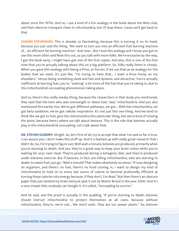about since the 1970s. And so, I use a kind of a fun analogy in the book about the Mito club, and their electron transport chain in mitochondria, but I'll stop there, 'cause we'll get back to that.

**SHAWN STEVENSON:** This is already so fascinating, because this is turning it on its head, because you just said the thing, "We want to turn you into an efficient fuel burning machine of... An efficient fat burning machine." And now... But I love this analogy and I know you got to use this more often and flesh this out, as you talk with more folks. We're exclusive by the way, I got the book early, I might have got one of the first copies. And also, this is one of the first time that you're actually talking about this on a big platform. So, folks really listen in closely. When you gave this analogy with being a Prius, or Ferrari, if we use that as an analogy for the bodies that we want, it's just like, "I'm trying to have that... I want a Prius hump on my shoulders." versus being something sleek and fast and dynamic and attractive. You're actually inefficient at burning fuel, you're, "wasting" a lot more of the fuel that you're taking in, due to this mitochondrial uncoupling phenomenon taking place.

And so, there's this really sneaky thing, because the researchers in that study you mentioned, they said that the twin who was overweight or obese had, "lazy" mitochondria. And you also mentioned this earlier too. We've got different pathways, we got... With the mitochondria, we got beta oxidation, we've got cellular respiration. It's not just this one thing. And we tend to think like we got to fuel, give the mitochondria this particular thing, but we're kind of missing the point, because here's where we talk about ketones. This is the role that ketones actually play in this mitochondrial uncoupling. Let's talk about that.

**DR. STEVEN GUNDRY:** Alright. So, let's first of all, try to accept that what I've said so far is true. I can assure you; I don't make this stuff up. And it is backed up with really great research that I didn't do. So, I'm trying to figure out, Well wait a minute, ketones are produced, primarily when you're starving to death. And yes, they're a great way to keep your brain online while you're waiting for your next meal. They're produced during a ketogenic diet, and they're produced under extreme exercise. But if ketones, in fact, are telling mitochondria, who are starving to death, to waste fuel, you go, "Wait a minute! That makes absolutely no sense." If I was designing an organism, and there's no fuel, there's no food coming in, I want to design my kind of mitochondria to hold on to every last ounce of calorie to become profoundly efficient at turning those calories into energy because, if they don't, I'm dead." But then there's an obscure paper that just twisted my brain and just spat it out by Martin Brand in the year 2000. And it's a very simple title, anybody can Google it. It's called, "Uncoupling to survive."

And he said, and the proof is actually in the pudding, "If you're starving to death, ketones should instruct mitochondria to protect themselves at all costs, because without [mitochondria, they](https://themodelhealthshow.com/podcasts/dr-steven-gundry-keto-code/)'[re, we](https://themodelhealthshow.com/podcasts/dr-steven-gundry-keto-code/)'[re not... We won](https://themodelhealthshow.com/podcasts/dr-steven-gundry-keto-code/)'[t exist. They are our power plants." So, ketones](https://themodelhealthshow.com/podcasts/dr-steven-gundry-keto-code/) 

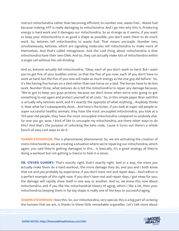instruct mitochondria rather than becoming efficient, to number one, waste fuel... Waste fuel because making ATP is really damaging to mitochondria. And I go into why this is. Producing energy is hard work and it damages our mitochondria. So as strange as it seems, if you want to keep your mitochondria in as good a shape as possible, you don't want them to do much work. So, ketones tell mitochondria to waste fuel. That means uncouple. Number two, simultaneously, ketones, which are signaling molecules tell mitochondria to make more of themselves. And that's called mitogenesis. And the cool thing about mitochondria is that mitochondria have their own DNA. And so, they can actually make lots of mitochondria within a single cell without the cell dividing.

And so, ketones actually tell mitochondria, "Okay, each of you don't work so hard. But I want you to get five of your buddies online, so that the five of you now, each of you don't have to work as hard, but the five of you now will make as much energy as the one guy did before." So, it's like having five horses on a sled rather than one horse on a sled. The horses have to do less work. Number three, what ketones do is tell the mitochondria to repair any damage because, "We've got to keep you guys pristine, because we don't know when we're ever going to get something to eat again and protect yourself at all costs." So, in this simple paper Bran said this is actually why ketones work, and it's exactly the opposite of what anything... Anybody thinks it. Now what he's subsequently done... And here's the kicker, if you look at super old people or super successful healthy animals, they have the most uncoupled mitochondria, you look at a 105-year-old people, they have the most uncoupled mitochondria compared to anybody else. So now you go, wow, I kind of like to uncouple my mitochondria, are there other ways to do this? And that's the purpose of unlocking the keto code, 'cause it turns out there's a whole bunch of easy cool ways to do it.

**SHAWN STEVENSON:** This is phenomenal, phenomenal. So, we are activating the creation of more mitochondria, we are creating a situation where we're repairing our mitochondria, which again, you said they're getting damaged in this... Is basically, it's a good analogy of they're doing a workout but not getting a chance to heal in a sense.

**DR. STEVEN GUNDRY:** That's exactly right, that's exactly right. And in a way, the more you actually make them do a hard workout, the more damage they do, and you and I both know that me and you probably by experience, if you don't have rest and repair days... And LeBron is a perfect example of this right now. If you don't have rest and repair days, I got news for you, the damage will rapidly show itself in one way or another. And so, we know this now about mitochondria, and if you like the mitochondrial theory of aging, which I like a lot, then your mitochondria, keeping them in tip top shape is really one of the keys to successful aging.

**SHAWN STEVENSON:** I love this. So, our mitochondria, very special, this is a big part of us being [the humans that we are, is thanks to these little remarkable organelles. Let](https://themodelhealthshow.com/podcasts/dr-steven-gundry-keto-code/)'[s talk more about](https://themodelhealthshow.com/podcasts/dr-steven-gundry-keto-code/) 

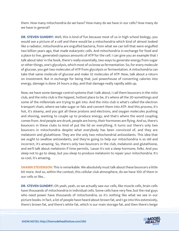them. How many mitochondria do we have? How many do we have in our cells? How many do we have in general?

**DR. STEVEN GUNDRY:** Well, this is kind of fun because most of us in high school biology, you would see a picture of a cell and there would be a mitochondria which kind of almost looked like a radiator, mitochondria are engulfed bacteria, from what we can tell that were engulfed two billion years ago, that made eukaryotic cells. And mitochondria in exchange for food and a place to live, generated copious amounts of ATP for the cell. I can give you an example that I talk about later in the book, there's really essentially, two ways to generate energy from sugar or other things, one's glycolysis, which most of us know as fermentation. So, for every molecule of glucose, you get two molecules of ATP from glycolysis or fermentation. A mitochondria can take that same molecule of glucose and make 32 molecules of ATP. Now, talk about a return on investment. But in exchange for being that, just powerhouse of converting calories into energy, damage is done 24 hours a day, and that damage really rapidly adds up.

Now, we have some damage control systems that I talk about, I call them bouncers in the mito club, and the mito club is the hippest, hottest place to be, it's where all the 20-somethings and some of the millennials are trying to get into. And the mito club is what's called the electron transport chain, where we take sugar or fats and convert them into ATP. And this process, it's hot, it's steamy, and you got all these protons and electrons, and oxygen molecules pushing and shoving, wanting to couple up to produce energy, and that's where the word coupling comes from. And people are drunk, people are horny, their hormones are flying. And so, there's bouncers in these clubs to kind of put the lid on everything. It turns out there's only two bouncers in mitochondria despite what everybody has been convinced of, and they are melatonin and glutathione. They are the only two mitochondrial antioxidants. This idea that we ought to swallow antioxidants, and they're going to help our mitochondria is so old and incorrect, it's amazing. So, there's only two bouncers in the club, melatonin and glutathione, and we'll talk about melatonin if time permits, 'cause it's not a sleep hormone, folks. And you sleep not to go to sleep, but you sleep to produce melatonin to repair your mitochondria. It's so cool, it's amazing.

**SHAWN STEVENSON:** This is remarkable. We absolutely must talk about these bouncers a little bit more. And so, within the context, this cellular club atmosphere, do we have 100 of them in our cells or like...

**DR. STEVEN GUNDRY:** Oh yeah, yeah, so we actually saw our cells, like muscle cells, brain cells have thousands of mitochondria in individual cells. Some cells have very few, but the real guys who need power have thousands of mitochondria, so it's nothing like what we see in our picture books. In fact, a lot of people have heard about brown fat, and I go into this extensively, [there](https://themodelhealthshow.com/podcasts/dr-steven-gundry-keto-code/)'[s brown fat, and there](https://themodelhealthshow.com/podcasts/dr-steven-gundry-keto-code/)'[s white fat, which is our main storage fat, and then there](https://themodelhealthshow.com/podcasts/dr-steven-gundry-keto-code/)'[s beige](https://themodelhealthshow.com/podcasts/dr-steven-gundry-keto-code/)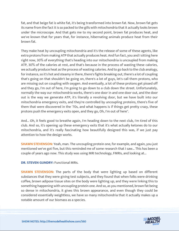fat, and that beige fat is white fat, it's being transformed into brown fat. Now, brown fat gets its name from the fact it is so packed to the gills with mitochondria that it actually looks brown under the microscope. And that gets me to my second point, brown fat produces heat, and we've known that for years that, for instance, hibernating animals produce heat from their brown fat.

They make heat by uncoupling mitochondria and it's the release of some of these agents, like extra protons from making ATP that actually produces heat. And fun fact, you and I sitting here right now, 30% of everything that's heading into our mitochondria is uncoupled from making ATP, 30% of the calories at rest, and that's because in the process of wasting these calories, we actually produce heat as the process of wasting calories. And to go back to the club analogy, for instance, so it's hot and steamy in there, there's fights breaking out, there's a lot of coupling that's going on that shouldn't be going on, there's a lot of guys, let's call them protons, who are missing out on coupling with oxygen. And eventually, a lot of these protons get pissed off and they go, I'm out of here, I'm going to go down to a club down the street. Unfortunately, normally the way our mitochondria works, there's one door in and one door out, and the door out is the way we generate ATP, it's literally a revolving door, but we have built into our mitochondria emergency exits, and they're controlled by uncoupling proteins, there's five of them that were discovered in the '70s, and what happens is if things get pretty crazy, these protons push the emergency exits open, and they go, Oh, I'm out of here".

And... Oh, it feels good to breathe again, I'm heading down to the next club, I'm tired of this club. And so, it's opening up these emergency exits that it's what actually ketones do to our mitochondria, and it's really fascinating how beautifully designed this was, if we just pay attention to how the design works.

**SHAWN STEVENSON:** Yeah, man. The uncoupling protein one, for example, and again, you just mentioned we've got five, but this reminded me of some research that I saw... This has been a couple of years ago now. This study was using MRI technology, FMRIs, and looking at...

**DR. STEVEN GUNDRY: Functional MRIS.** 

**SHAWN STEVENSON:** The parts of the body that were lighting up based on different substances that they were giving test subjects, and they found that when folks were drinking coffee, brown adipose tissue sites on the body were lighting up, and they were linking this to something happening with uncoupling protein one. And so, as you mentioned, brown fat being so dense in mitochondria, it gives this brown appearance, and even though they could be considered essentially weightless, we have so many mitochondria that it actually makes up a notable amount of our biomass as a species.

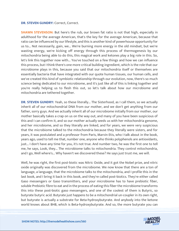#### **DR. STEVEN GUNDRY: Correct, Correct.**

**SHAWN STEVENSON:** But here's the rub, our brown fat ratio is not that high, especially in adulthood for the average American, that's the key for the average American, because that ratio can be influenced by our lifestyle, and this is another kind of powerhouse opportunity for us to... Not necessarily, gain, we... We're burning more energy in the old mindset, but we're wasting energy, we're kicking off energy through this process of thermogenesis by our mitochondria being able to do this, this magical work and ketones play a big role in this. So, let's link this together now with... You've touched on a few things and how we can influence this process, but I think there's one more critical building ingredient, which is the role that our microbiome plays in this, because you said that our mitochondria itself or themselves are essentially bacteria that have integrated with our quote human tissues, our human cells, and we've created this kind of symbiotic relationship through our evolution, now, there's so much science being dedicated to our microbiome, and it's just like all of this is linking together and you're really helping us to flesh this out, so let's talk about how our microbiome and mitochondria are tethered together.

**DR. STEVEN GUNDRY:** Yeah, so these literally... The Sisterhood, as I call them, so we actually inherit all of our mitochondrial DNA from our mother, and we don't get anything from our father, sorry guys. And we actually inherit all of our microbiome initially from our mother, our mother basically takes a crap on us on the way out, and many of you have been suspicious of this and I can confirm it, and so our mother actually seeds us with her mitochondria genome, and her microbiome, and so they literally are linked, and for years, we were very suspicious that the microbiome talked to the mitochondria because they literally were sisters, and for years, it was postulated and a professor from Paris, Marvin Etis, who I talk about in the book, years ago, used to tell me that, number one, anyone who thinks polyphenols are antioxidants, just... I don't have any time for you, it's not true. And number two, he was the first one to tell me, he says, Look, they... The microbiome talks to mitochondria. They control mitochondria, and I go, Well where's... Why haven't we discovered these? He says just trust me, we will.

Well, he was right, the first post-biotic was Nitric Oxide, and it got the Nobel prize, and nitric oxide originally was discovered from the microbiome. We now know that there are a ton of language, a language, that the microbiome talks to the mitochondria, and I profile this in the last book, and I bring it back in this book, and they're called post-biotics. They're either called Gaso messengers or Gaso transmitters, and your microbiome has to have prebiotic fiber, soluble Prebiotic fibre to eat and in the process of eating this fiber the microbiome transforms this into these post-biotic gaso messengers, and one of the coolest of them is Butyric, so butyrate butyric acid. Butyrate just happens to be a mitochondrial un-coupler in its own right, but butyrate is actually a substrate for Beta-hydroxybutyrate. And anybody into the ketone [world knows about BHB, which is Beta-hydroxybutyrate. And so, the more butyrate you can](https://themodelhealthshow.com/podcasts/dr-steven-gundry-keto-code/)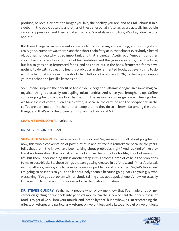produce, believe it or not, the longer you live, the healthy you are, and as I talk about it in a sidebar in the book, butyrate and other of these short-chain fatty acids are actually incredible cancer suppressors, and they're called histone D acetylase inhibitors, it's okay, don't worry about it.

But these things actually prevent cancer cells from growing and dividing, and so butyrate is really good. Number two, there's another short chain fatty acid, that almost everybody's heard of, but has no idea why it's so important, and that is vinegar. Acetic acid. Vinegar is another short chain fatty acid as a product of fermentation, and this goes on in our gut all the time, but it also goes on in fermented foods, and as I point out in the book, fermented foods have nothing to do with you eating healthy probiotics in the fermented foods, but everything to do with the fact that you're eating a short-chain fatty acid, acetic acid... Oh, by the way uncouples your mitochondria just like ketones do.

So, surprise, surprise the benefit of Apple cider vinegar or Balsamic vinegar isn't some magical mystical thing it's actually uncoupling mitochondria. And since you brought it up, Coffee contains polyphenols, and we'll do that next but the reason most of us get a warm feeling when we have a cup of coffee, even an ice coffee, is because the caffeine and the polyphenols in the coffee are both major mitochondrial un-couplers and they do so in brown fat among the other things, and that's why the brown fat lit up on the functional MRI.

#### **SHAWN STEVENSON: Remarkable.**

#### **DR. STEVEN GUNDRY:** Cool.

**SHAWN STEVENSON:** Remarkable. Yes, this is so cool. So, we've got to talk about polyphenols now, this whole conversation of post-biotics in and of itself is remarkable because for years, folks that are in the know, have been talking about prebiotics, right? And it's kind of like prelife, if we break down the word itself, and of course the probiotics for life, it sort of means for life, but then understanding this is another step in this process, prebiotics help the probiotics to make post-biotic. So, these things that are getting created in us for us, and if there's a break in this pathway, we're going to have some serious problems and one of the... So, let's talk again. I'm going to pass this to you to talk about polyphenols because going back to your guy who was saying, "I've got a problem with anybody talking crazy about polyphenols", now we actually know so much more, and this is a remarkable thing about nutrition.

**DR. STEVEN GUNDRY:** Yeah, many people who follow me know that I've made a lot of my career on getting polyphenols into people's mouth. I'm the guy who said the only purpose of food is to get olive oil into your mouth, and I stand by that, but anyhow, as I'm researching the [effects of ketones and particularly ketones on weight loss and a ketogenic diet on weight loss,](https://themodelhealthshow.com/podcasts/dr-steven-gundry-keto-code/) 

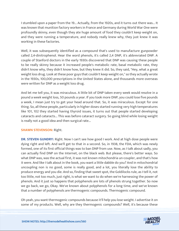I stumbled upon a paper from the 19... Actually, from the 1920s, and it turns out there was... It was known that munition factory workers in France and Germany during World War One were profoundly skinny, even though they ate huge amount of food they couldn't keep weight on, and they were running a temperature, and nobody really knew why, they just knew it was working in these factories.

Well, it was subsequently identified as a compound that's used to manufacture gunpowder called 2,4-dinitrophenol. Hear the word phenols, it's called 2,4 DNP, it's abbreviated DNP. A couple of Stanford doctors in the early 1930s discovered that DNP was causing these people to be really skinny because it increased people's metabolic rate, basal metabolic rate, they didn't know why, they didn't know how, but they knew it did. So, they said, "Hey, what a great weight loss drug. Look at these poor guys that couldn't keep weight on," so they actually wrote in the 1930s, 100,000 prescriptions in the United States alone, and thousands more overseas were written for DNP as a weight loss drug.

And let me tell you, it was miraculous. A little bit of DNP taken every week would resolve in a pound a week weight loss, 50 pounds a year. If you took more DNP, you could lose five pounds a week, I mean just try to get your head around that. So, it was miraculous. Except for one thing. So, all these people, particularly in higher doses started running very high temperatures like 101, 102 they started having thyroid issues, it turns out that people started developing cataracts and cataracts... This was before cataract surgery. So going blind while losing weight is really not a good idea and then surgical rate...

#### **SHAWN STEVENSON:** Right.

**DR. STEVEN GUNDRY:** Right. Now I can't see how good I work. And at high dose people were dying right and left. And we'll get to that in a second. So, in 1938, the FDA, which was newly formed, one of its first official things was to ban DNP from use. Now, as I talk about sadly, you can actually find DNP on the Internet, on the black web. But please, there's better ways. So what DNP was, was the actual first, it was not known mitochondria un-coupler, and that's how it were. And like I talk about in the book, you want a little dabble do you? And in mitochondrial uncoupling non is no good, some is really good, and a lot, you literally lose the ability to produce energy and you die. And so, finding that sweet spot, the Goldilocks rule, as I tell it, not too little, not too much, just right, is what we want to do when we're harnessing the power of phenols. And it just so happens that polyphenols are lots of phenols strung together. So now we go back, we go, Okay. We've known about polyphenols for a long time, and we've known that a number of polyphenols are thermogenic compounds. Thermogenic compound.

Oh yeah, you want thermogenic compounds because it'll help you lose weight. I advertise it on [some of my products. Well, why are they thermogenic compounds? Well, it](https://themodelhealthshow.com/podcasts/dr-steven-gundry-keto-code/)'[s because these](https://themodelhealthshow.com/podcasts/dr-steven-gundry-keto-code/) 

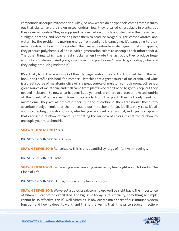compounds uncouple mitochondria. Okay, so now where do polyphenols come from? It turns out that plants have their own mitochondria. Now, they're called chloroplasts in plants, but they're mitochondria. They're supposed to take carbon dioxide and glucose in the presence of sunlight, photons, and reverse engineer them to produce oxygen, sugar, carbohydrates, and water. So, the problem is making energy from sunlight is damaging, it's damaging to their mitochondria. So how do they protect their mitochondria from damage? It just so happens, they produce polyphenols, all those dark pigmentation colors to uncouple their mitochondria. The other thing, which was a real shocker when I wrote the last book, they produce huge amounts of melatonin. And you go, wait a minute, plant doesn't need to go to sleep, what are they doing producing melatonin?

It's actually to do the repair work of their damaged mitochondria. And I profiled that in the last book, and I profile this book for instance, Pistachios are a great source of melatonin. Red wine is a great source of melatonin, olive oil is a great source of melatonin, mushrooms, coffee is a great source of melatonin, and it all came from plants who didn't need to go to sleep, but they needed melatonin. So now what happens is, polyphenols are there to protect the mitochondria of the plant. When we eat those polyphenols from the plant, they not only feed our microbiome, they act as prebiotic fiber, but the microbiome then transforms those into absorbable polyphenols that then uncouple our mitochondria. So, it's like, Holy cow, it's all about protecting our mitochondria, whether you're a plant or an animal, and it just so happens that eating the rainbow of plants is not eating the rainbow of colors, it's eat the rainbow to uncouple your mitochondria.

**SHAWN STEVENSON: This is...** 

**DR. STEVEN GUNDRY:** Who knew?

**SHAWN STEVENSON:** Remarkable. This is this beautiful synergy of life, like I'm seeing...

**DR. STEVEN GUNDRY:** Yeah.

**SHAWN STEVENSON:** I'm hearing some Lion King music in my head right now, Dr Gundry, The Circle of Life.

**DR. STEVEN GUNDRY:** I know, it's one of my favorite songs.

**SHAWN STEVENSON:** We've got a quick break coming up, we'll be right back. The importance of Vitamin C cannot be overstated. The big issue today is its simplicity, something so simple cannot be so effective, can it? Well, vitamin C is obviously a major part of our immune system [function and how it does its work, and this is the key, is that it helps to reduce infection-](https://themodelhealthshow.com/podcasts/dr-steven-gundry-keto-code/)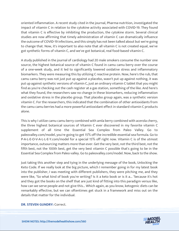oriented inflammation. A recent study cited in the journal, Pharma-nutrition, investigated the impact of vitamin C in relation to the cytokine activity associated with COVID-19. They found that vitamin C is effective by inhibiting the production, the cytokine storm. Several clinical studies are now affirming that timely administration of vitamin C can dramatically influence the outcome of COVID-19 infections, and this simply has not been talked about but we're going to change that. Now, it's important to also note that all vitamin C is not created equal, we've got synthetic forms of vitamin C, and we've got botanical, real food-based vitamin C.

A study published in the journal of cardiology had 20 male smokers consume the number one source, the highest botanical source of vitamin C found in camu camu berry over the course of a one-week study, and it led to significantly lowered oxidative stress and inflammatory biomarkers. They were measuring this by utilizing C reactive protein. Now, here's the rub, that camu camu berry was not just put up against a placebo, wasn't put up against nothing, it was put up against synthetic versions of vitamin C, just an ordinary vitamin C tablet that you might find as you're checking out the cash register at a gas station, something of the like. And here's what they found, the researchers saw no change in these biomarkers, reducing inflammation and oxidative stress in the placebo group. That placebo group again, was a synthetic version vitamin C. For the researchers, this indicated that the combination of other antioxidants from the camu camu berries had a more powerful antioxidant effect in standard vitamin C products alone.

This is why I utilize camu camu berry combined with amla berry combined with acerola cherry, the three highest botanical sources of Vitamin C ever discovered in my favorite vitamin C supplement of all time the Essential Sea Complex from Paleo Valley. Go to paleovalley.com/model, you're going to get 15% off the incredible essential sea formula. Go to P-A-L-E-O-V-A-L-L-E-Y.com/model for a special 15% off right now. Vitamin C is of the utmost importance, outsourcing matters more than ever. Get the very best, not the third best, not the fifth best, not the 100th best, get the very best vitamin C possible that's going to be in the Essential Sea Complex from Paleo valley. Go to paleovalley.com/model. Now, back to the show.

Just taking this another step and tying in the underlying message of the book, Unlocking the Keto Code. If we really look at the big picture, which I remember going in for my latest book into the publisher, I was meeting with different publishers, they were pitching me, and they were like, "So what kind of book you're writing? Is it a keto book or is it a... "because it's hot and they got the books on the shelf that are just kind of fitting into this paradigm versus like, how can we serve people and not give this... Which again, as you know, ketogenic diets can be remarkably effective, but we can oftentimes get stuck in a framework and miss out on the details that matter for the individual.

**[DR. STEVEN GUNDRY:](https://themodelhealthshow.com/podcasts/dr-steven-gundry-keto-code/) Correct.** 

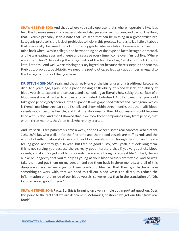**SHAWN STEVENSON:** And that's where you really operate, that's where I operate is like, let's help this to make sense in a broader scale and also personalize it for you, and part of the thing that... You've probably seen a note that I've seen that can be missing in a great structured ketogenic protocol is the lack of prebiotics to help in this process. So, let's talk a little bit about that specifically, because this is kind of an upgrade, whereas folks... I remember a friend of mine back when I was in college, and he was doing an Atkins-type de facto ketogenic protocol, and he was eating eggs and cheese and sausage every time I come over. I'm just like, "Where is your bun, bro?" He's eating the burger without the bun, he's like, "I'm doing this Atkins, it's keto, ketones." And well, we're missing this key ingredient because there's steps in the process. Prebiotic, probiotic, post-biotic, we need the post-biotics, so let's talk about fiber in regard to this ketogenic protocol that you have.

**DR. STEVEN GUNDRY:** Yeah, and that's really one of the big failures of a traditional ketogenic diet. And years ago, I published a paper looking at flexibility of blood vessels, the ability of blood vessels to expand and contract, and also looking at literally how sticky the surface of a blood vessel was attracted to cholesterol, activated cholesterol. And I showed that you could take good people, polyphenols into this paper. It was grape seed extract and Pycnogenol, which is French maritime tree bark and fish oil, and show within three months that their stiff blood vessels would become flexible, and that the stickiness of their blood vessels would become lined with Teflon. And then I showed that if we took these compounds away from people, that within three months, they'd be back where they started.

And I've seen... I see patients six days a week, and so I've seen some real hardcore keto dieters, 70%, 80% fat, who walk in for the first time and their blood vessels are stiff as rods and the amount of inflammation stickiness on their blood vessels is just through the roof, and they're feeling good, and they go, "Oh yeah, but I feel so good." I say, "Well yeah, but look, long term, this is not serving you because there's really good literature that if you've got sticky blood vessels, and if you've got stiff blood vessels... You are not long for a great life." In fact, there's a joke on longevity that you're only as young as your blood vessels are flexible. And so we'll take them and put them on my version and see them back in three months, and all of this disappears because we're giving them pre-biotic fiber so that their gut bacteria have something to work with, that we need to tell our blood vessels to dilate, to reduce the inflammation on the inside of our blood vessels, so we've lost that in the translation of, "Oh, ketones are so good for you."

**SHAWN STEVENSON:** Facts. So, this is bringing up a very simple but important question. Does this point to the fact that we are deficient in Metamucil, or should we get our fiber from real foods?

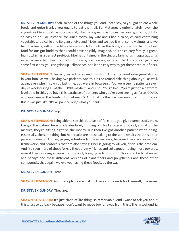**DR. STEVEN GUNDRY:** Yeah, so one of the things you and I both say, so you got to eat whole foods and quite frankly you ought to eat them all. So, Metamucil, unfortunately, even the sugar-free Metamucil has sucrose in it, which is a great way to destroy your gut bugs, but it's so easy to do. For instance, for lunch today, my wife and I had a salad, chicory containing vegetables, radicchio and Belgian endive and frisée, and we had it with some walnuts, and we had it actually, with some blue cheese, which I go into in the book, and we just had the best food for our gut buddies that I could have possibly imagined. So, the chicory family is great. Inulin, which is a perfect prebiotic fiber is contained in the chicory family. It's in asparagus. It's in Jerusalem artichokes. It's in a lot of tubers, jicama is a great example. And you can grind up some flax seeds, you can grind up Selim seeds, and it's an easy way to get these prebiotic fibers.

**SHAWN STEVENSON:** Perfect, perfect. So again, this is for... And you shared some great stories in your book as well, having two patients. And this is the remarkable thing about you as well, again, even when I saw you last time, you were in between... You were seeing patients seven days a week during all of the COVID mayhem, and just... You're like... You're just on a different level. And in this, you have this database of patients who you're even seeing as far as COVID, and you were at the forefront of vitamin D. And that by the way, we won't get into it today. But it was just like, "It's all panned out," what you said.

#### **DR. STEVEN GUNDRY:** Yup.

**SHAWN STEVENSON:** Being able to see this database of folks, and you give examples of... Now, I've got this patient here who's absolutely thriving on this ketogenic protocol, and all of the metrics, they're hitting right on the money. But then I've got another patient who's doing, essentially, the same thing, but her results are not speaking to the same results that this other person is seeing. And so, paying attention to these markers, because there are some diet frameworks and protocols that are also saying, fiber is going to kill you, fiber is the problem. And I've seen more of those folks... These are my friends and colleagues moving more towards, even if they're doing a carnivore protocol, bringing in fruit, right? This could be blueberries and papaya and these different versions of plant fibers and polyphenols and these other compounds, that again, we evolved having these foods, by the way.

#### **DR. STEVEN GUNDRY:** Yeah.

**SHAWN STEVENSON:** And these plants are making these compounds for themself, in a sense.

**DR. STEVEN GUNDRY:** They are.

**SHAWN STEVENSON:** It's just circle of life thing, so remarkable. And I want to ask you about [this... Just to go back because I don](https://themodelhealthshow.com/podcasts/dr-steven-gundry-keto-code/)'[t want to move too far away from this... The mitochondria](https://themodelhealthshow.com/podcasts/dr-steven-gundry-keto-code/) 

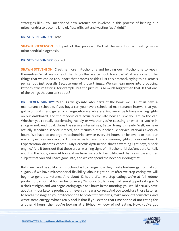strategies like... You mentioned how ketones are involved in this process of helping our mitochondria to become kind of, "less efficient and wasting fuel," right?

#### **DR. STEVEN GUNDRY:** Yeah.

**SHAWN STEVENSON:** But part of this process... Part of the evolution is creating more mitochondrial biogenesis.

#### **DR. STEVEN GUNDRY:** Correct.

**SHAWN STEVENSON:** Creating more mitochondria and helping our mitochondria to repair themselves. What are some of the things that we can look towards? What are some of the things that we can do to support that process besides just this protocol, trying to hit ketosis per se, but just overall? Because one of those things... We can lean more into producing ketones if we're fasting, for example, but the picture is so much bigger than that. Is that one of the things that you talk about?

**DR. STEVEN GUNDRY:** Yeah. As we go into later parts of the book, we... All of us have a maintenance schedule. If you buy a car, you have a scheduled maintenance interval that you got to bring it in, and get an oil change, etcetera, etcetera. And we actually have warning lights on our dashboard, and the modern cars actually calculate how abusive you are to the car. Whether you're really accelerating rapidly or whether you're coasting or whether you're in smog or not. And it calculates the service interval, say, Better bring it in early. Well, we have actually scheduled service interval, and it turns out our schedule service interval's every 24 hours. We have to undergo mitochondrial service every 24 hours, or believe it or not, our warranty expires very rapidly. And we actually have tons of warning lights on our dashboard: Hypertension, diabetes, cancer... Guys, erectile dysfunction, that's a warning light, says, "Check engine." And it turns out that these are all warning signs of mitochondrial dysfunction. As I talk about in the book, every 24 hours, if we have metabolic flexibility, and that's a whole another subject that you and I have gone into, and we can spend the next hour doing that.

But if we have the ability for mitochondria to change how they create fuel energy from fats or sugars... If we have mitochondrial flexibility, about eight hours after we stop eating, we will begin to generate ketones. And about 12 hours after we stop eating, we're at full ketone production, a normal human being, every 24 hours. So, let's say that you stopped eating at 6 o'clock at night, and you began eating again at 6 hours in the morning, you would actually have about a 4-hour ketone production, if everything was correct. And you would use those ketones to send a message to your mitochondria to protect themselves, make more of themselves, and waste some energy. What's really cool is that if you extend that time period of not eating for [another 4 hours, then you](https://themodelhealthshow.com/podcasts/dr-steven-gundry-keto-code/)'[re looking at a 16-hour window of not eating. Now, you](https://themodelhealthshow.com/podcasts/dr-steven-gundry-keto-code/)'[ve got](https://themodelhealthshow.com/podcasts/dr-steven-gundry-keto-code/)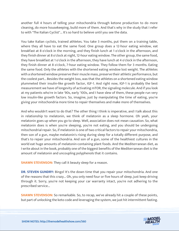another full 4 hours of telling your mitochondria through ketone production to do more cleaning, do more housekeeping, build more of them. And that's why in the study that I refer to with "The Italian Cyclist"... It's so hard to believe until you see the data.

You take Italian cyclists, trained athletes. You take 3 months, put them on a training table, where they all have to eat the same food. One group does a 12-hour eating window, eat breakfast at 8 o'clock in the morning, and they finish lunch at 1 o'clock in the afternoon, and they finish dinner at 8 o'clock at night, 12-hour eating window. The other group, the same food, they have breakfast at 1 o'clock in the afternoon, they have lunch at 4 o'clock in the afternoon, they finish dinner at 8 o'clock, 7-hour eating window. They follow them for 3 months. Eating the same food. Only the athletes with the shortened eating window lost weight. The athletes with a shortened window preserve their muscle mass, preserve their athletic performance, but the coolest part... Besides the weight loss, was that the athletes on a shortened eating window plummeted their insulin-like growth factor, IGF-1. And right now, IGF-1 is probably the best measurement we have of longevity of activating mTOR, the signaling molecule. And if you look at my patients who're in late '90s, early '100s, and I have slew of them, these people run very low insulin-like growth factors. So, imagine, just by manipulating the time of eating, you're giving your mitochondria more time to repair themselves and make more of themselves.

And who wouldn't want to do that? The other thing I think is imperative, and I talk about this in relationship to melatonin, we think of melatonin as a sleep hormone. Oh yeah, your melatonin goes up when you go to sleep. Well, association does not mean causation. So, what melatonin does is when you're sleeping, you're not eating, and you should be undergoing mitochondrial repair. So, if melatonin is one of two critical factors to repair your mitochondria, then son of a gun, maybe melatonin's rising during sleep for a totally different purpose, and that's to repair your mitochondria. And son of a gun, some of the healthiest cultures in the world eat huge amounts of melatonin-containing plant foods. And the Mediterranean diet, as I write about in the book, probably one of the biggest benefits of the Mediterranean diet is the amount of melatonin and uncoupling polyphenols that it contains.

**SHAWN STEVENSON:** They call it beauty sleep for a reason.

**DR. STEVEN GUNDRY:** Bingo! It's the down time that you repair your mitochondria. And one of the reasons that this crazy... Oh, you only need four or five hours of sleep, just keep driving through it. Sorry, you're not keeping your car warranty intact, you're not adhering to the prescribed service...

**SHAWN STEVENSON:** So remarkable. So, to recap, we've already hit a couple of these points, but part of unlocking the keto code and leveraging the system, we just hit intermittent fasting.

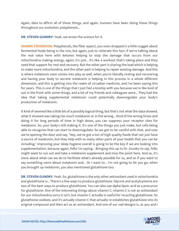Again, data to affirm all of these things, and again, humans have been doing these things throughout our evolution, polyphenols...

**DR. STEVEN GUNDRY:** Yeah, we wrote the science for it.

**SHAWN STEVENSON:** Polyphenols, the fiber aspect, you even dropped in a little nugget about fermented foods being in the mix, but again, just to reiterate this fact, if we're talking about the real value here with ketones helping to stop the damage that occurs from our mitochondria making energy, again, it's just... It's like a workout that's taking place and they need that support for rest and recovery. But the other part is sharing the load which is helping to make more mitochondria, and the other part is helping to repair existing damage. And this is where melatonin even comes into play as well, when you're literally resting and recovering and having your body to secrete melatonin is helping in this process in a whole different dimension, and this is getting into the realm of circadian medicine, and I've been saying this for years. This is one of the things that I just feel a kinship with you because we're like kind of out in the front with some things, and a lot of my friends and colleagues were... They had the idea that taking supplemental melatonin could potentially downregulate your body's production of melatonin.

It kind of seemed like a little bit of a possibly logical thing, but that's not what the data showed, what it showed was taking too much melatonin or in the wrong... Kind of the wrong times and doing it for long periods of time in high doses, you can suppress your receptor sites for melatonin. So, your body's still making it. It's one of the things you just make, but cells being able to recognize that can start to downregulate. So we got to be careful with that, and now we're opening the door and say, "Hey, we've got a ton of high quality foods that not just have a source of melatonin, but they help with so many other parts of your health that you can be including," Improving your sleep hygiene overall is going to be the key if we are looking into supplementation, because again, folks I'm saying... Bringing this up to Dr. Gundry to say, folks might want to run out and take a melatonin supplement and miss the point here. And so, it's more about what can we do to facilitate what's already possible for us, and so if you want to say something more about melatonin and... Or I want to... I'm not going to let you go, when you brought up melatonin, you also mentioned glutathione too.

**DR. STEVEN GUNDRY:** Yeah. So, glutathione is the only other antioxidant used in mitochondria and glutathione is... There's a few ways to produce glutathione. Glycine and acetylcysteine are two of the best ways to produce glutathione. You can also use alpha-lipoic acid as a precursor for glutathione. One of the interesting things about vitamin C, vitamin C is not an antioxidant for our mitochondria sorry it isn't, but vitamin C actually is useful for recycling glutathione. So glutathione oxidizes, and it's actually vitamin C that actually re-establishes glutathione into its [original compound and then act as an antioxidant. And one of our sad designs is, as you and I](https://themodelhealthshow.com/podcasts/dr-steven-gundry-keto-code/)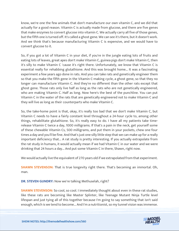know, we're one the few animals that don't manufacture our own vitamin C, and we did that actually for a good reason. Vitamin C is actually made from glucose, and there are five genes that make enzymes to convert glucose into vitamin C. We actually carry all five of those genes, but the fifth one is turned off. It's called a ghost gene. We can see it's there, but it doesn't work. And we think that's because manufacturing Vitamin C is expensive, and we would have to convert glucose to it.

So, if you got a lot of Vitamin C in your diet, if you're in the jungle eating lots of fruits and eating lots of leaves, great apes don't make Vitamin C, guinea pigs don't make Vitamin C, then it's silly to make Vitamin C 'cause it's right there. Unfortunately, we know that Vitamin C is essential really for rehabbing glutathione. And this was brought home... It was a fascinating experiment a few years ago done in rats. And you can take rats and genetically engineer them so that you make the fifth gene in the Vitamin C-making cycle, a ghost gene, so that they no longer can manufacture Vitamin C. And they're no different than the other rats except that ghost gene. Those rats only live half as long as the rats who are not genetically engineered, who are making Vitamin C. Half as long. Now here's the best of the punchline. You can put Vitamin C in the water of the rats that are genetically engineered not to make Vitamin C and they will live as long as their counterparts who make Vitamin C.

So, the take-home point is that, okay, it's really too bad that we don't make Vitamin C, but Vitamin C needs to have a fairly constant level throughout a 24-hour cycle to, among other things, rehabilitate glutathione. So, it's really easy to do. I have all my patients take timerelease Vitamin C twice a day, 1000 milligrams. If that's a pain in the neck, get yourself some of these chewable Vitamin Cs, 500 milligrams, and put them in your pockets, chew one four times a day and you'll be fine. And that's just one silly little step that we can make up for a really important deficiency that... A rat study is pretty interesting. If you actually extrapolate from the rat study in humans, it would actually mean if we had Vitamin C in our water and we were drinking that 24 hours a day... And put some Vitamin C in there, Shawn, right now.

We would actually live the equivalent of 270 years old if we extrapolated from that experiment.

**SHAWN STEVENSON:** That is true longevity right there. That's becoming an immortal. Oh, man.

**DR. STEVEN GUNDRY:** Now we're talking Methuselah, right?

**SHAWN STEVENSON:** So cool, so cool. I immediately thought about even in these rat studies, like these rats are becoming like Master Splinter, like Teenage Mutant Ninja Turtle level lifespan and just tying all of this together because I'm going to say something that isn't said [enough, which is we tend to become... And I](https://themodelhealthshow.com/podcasts/dr-steven-gundry-keto-code/)'[m a nutritionist, so my tunnel vision was immense.](https://themodelhealthshow.com/podcasts/dr-steven-gundry-keto-code/)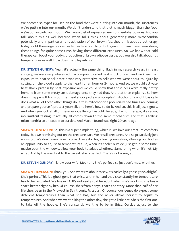We become so hyper-focused on the food that we're putting into our mouth, the substances we're putting into our mouth. We don't understand that diet is much bigger than the food we're putting into our mouth. We have a diet of exposures, environmental exposures. And you talk about this as well because when folks think about generating more mitochondria potentially and in particular, this activation of our brown fat, they think about cryotherapy today. Cold thermogenesis is really, really a big thing, but again, humans have been doing these things for quite some time, having these different exposures. So, we know that cold therapy can boost your body's production of brown adipose tissue, but you also talk about hot temperatures as well. How does that play into it?

**DR. STEVEN GUNDRY:** Yeah, it's actually the same thing. Back in my research years in heart surgery, we were very interested in a compound called heat shock protein and we knew that exposure to heat shock protein was very protective to cells who we were about to injure by cutting off the blood supply to the heart for an hour or 24 hours. And so, we would activate heat shock protein by heat exposure and we could show that these cells were really pretty immune from some pretty toxic damage once they had that. And that then explains... So how does it happen? It turns out that heat shock protein un-couples' mitochondria and it basically does what all of these other things do. It tells mitochondria potentially bad times are coming and prepare yourself, protect yourself, and here's how to do it. And so, this is all just signals. And when you look at all of these various things like cold therapy, like hot therapy, like sauna, intermittent fasting, it actually all comes down to the same mechanism and that is telling mitochondria to un-couple to survive. And Martin Brand was right 20 years ago.

**SHAWN STEVENSON:** So, this is a super simple thing, which is, we love our creature comforts today, but we're missing out on the creature part. We're still creatures. And so proactively just allowing... We don't even have to proactively do this, allowing ourselves, allowing our bodies an opportunity to adjust to temperatures. So, when it's cooler outside, just get in some time, maybe open the windows, allow your body to adapt whether... Same thing when it's hot. My wife... And by the way, first to the caveat, she is perfect. There's not a single...

**DR. STEVEN GUNDRY:** I know your wife. Met her... She's perfect, so just don't mess with her.

**SHAWN STEVENSON:** Thank you. And what I'm about to say, it's basically a ghost gene, alright? She's perfect. This is a ghost gene that exists within her and that is constantly her temperature has to be regulated. We live in LA. It's not really cold here, but when she's working, she has a space heater right by her. Of course, she's from Kenya, that's the story. More than half of her life she's been in the Midwest in Saint Louis, Missouri. Of course, our genes do expect some different temperatures than what she has, but she never allows herself to adjust to temperatures. And when we went hiking the other day, she got a little hot. She's the first one [to take off the hoodie. She](https://themodelhealthshow.com/podcasts/dr-steven-gundry-keto-code/)'[s constantly wanting to be in this... Quickly adjust to the](https://themodelhealthshow.com/podcasts/dr-steven-gundry-keto-code/)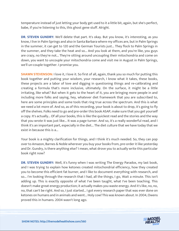temperature instead of just letting your body get used to it a little bit, again, but she's perfect, babe, if you're listening to this, this ghost gene stuff. Alright.

**DR. STEVEN GUNDRY:** We'll delete that part. It's okay. But you know, it's interesting, as you know, I live in Palm Springs and also in Santa Barbara where my offices are, but in Palm Springs in the summer, it can get to 120 and the German Tourists just... They flock to Palm Springs in the summer, and they take the heat and so... And you look at them, and you're like, you guys are crazy, no they're not... They're sitting around uncoupling their mitochondria and come on down, you want to uncouple your mitochondria come and visit me in August in Palm Springs, we'll un-couple together. I promise you.

**SHAWN STEVENSON:** I love it, I love it. So first of all, again, thank you so much for putting this book together and putting your wisdom, your research, I know what it takes, these books, these projects are a labor of love and digging in questioning things and re-calibrating and creating a formula that's more inclusive, ultimately. On the surface, it might be a little irritating, like what? But when it gets to the heart of it, you are bringing more people in and including more folks and saying, hey, whatever diet framework that you are subscribed to, here are some principles and some tools that ring true across the spectrum. And this is what we need a lot more of. And so, as of this recording, your book is about to drop, it's going to fly off the shelves. Folks need to go and pre-order this book ASAP, make sure that you get yourself a copy. It's actually... Of all your books, this is like the quickest read and the stories and the way that you wrote it was just like... It was a page turner. And so, it's a really wonderful read, and I think it's an important part, especially in the diet... The diet culture that we have today that we exist in because this is a...

Your book is a mighty clarification for things, and I think it's much needed. So, they can pop over to Amazon, Barnes & Noble wherever you buy your books from, pre-order it like yesterday and Dr. Gundry, is there anything else? I mean, what drove you to actually write this particular book right now?

**DR. STEVEN GUNDRY:** Well, it's funny when I was writing The Energy Paradox, my last book, and I was trying to explain how ketones created mitochondrial efficiency, how they created you to become this efficient fat burner, and I like to document everything with research, and so... I'm looking through the research that I had, all the things, I go, Wait a minute. This isn't adding up. This is exactly opposite of what I've been taught, what I've been teaching. This doesn't make great energy production; it actually makes you waste energy. And it's like, no, no, no, that can't be right. And so, I just started... I got every research paper that was ever done on ketones on humans and in animals and went... Holy cow! This was known about. In 2004, Owens proved this in humans. 2004 wasn't long ago.

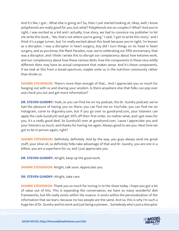And it's like, I got... What else is going on? So, then I just started looking at, Okay, well, I know polyphenols are really good for you, but what? Polyphenols are un-couplers? What? And you're right, I was excited as a kid and I actually, true story, we had to convince my publisher to let me write this book... "No, that's not where you're going." I said, "I got to write this story," and I think it's a page turner, but I'm really excited about this book because you're right, I'm known as a disruptor, I was a disruptor in heart surgery, boy did I turn things on its head in heart surgery, and as you know, the Plant Paradox, now, we're celebrating our fifth anniversary, that was a disruptor, and I think I wrote this to disrupt our complacency about how ketones work, and our complacency about how these various diets, how the components in these very wildly different diets may have an actual component that makes sense. And it's those components, if we look at this from a broad spectrum, maybe unite us in the nutrition community rather than divide us.

**SHAWN STEVENSON:** There's more than enough of that... And I appreciate you so much for hanging out with us and sharing your wisdom. Is there anywhere else that folks can pop over and check you out and get more information?

**DR. STEVEN GUNDRY:** Yeah, so you can find me on my podcast, the Dr. Gundry podcast, we've had the pleasure of having you on there, you can find me on YouTube, you can find me on Instagram, come to drgundry.com, but if you go over to gundrymd.com, your listeners can apply the code Gundry30 and get 30% off their first order, no matter what, and I got news for you, it's a really good deal. So Gundry30 over at gundrymd.com, 'cause I appreciate you and your listeners so much, and thanks for having me again. Always good to see you. Next time we got to be in person again, right?

**SHAWN STEVENSON:** Definitely, definitely. And by the way, you guys always send me great stuff, your olive oil, so definitely folks take advantage of that and Dr. Gundry, you are one in a billion, you are a superhero for us, and I just appreciate you.

**DR. STEVEN GUNDRY:** Alright, keep up the good work.

**SHAWN STEVENSON:** Alright, talk soon. Appreciate you.

**DR. STEVEN GUNDRY:** Alright, take care.

**SHAWN STEVENSON:** Thank you so much for tuning in to the show today. I hope you got a lot of value out of this. This is expanding the conversation, we have so many wonderful diet frameworks, but life really exists within the nuance. It exists within the personalization of the information that we learn, because no two people are the same. And so, this is why I'm such a [huge fan of Dr. Gundry and his work and just being a pioneer... Somebody who](https://themodelhealthshow.com/podcasts/dr-steven-gundry-keto-code/)'[s just a disruptor](https://themodelhealthshow.com/podcasts/dr-steven-gundry-keto-code/)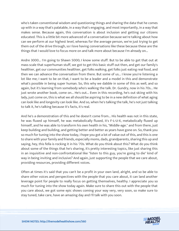who's taken conventional wisdom and questioning things and sharing the data that he comes up with in a way that's palatable, in a way that's engaging, and most importantly, in a way that makes sense. Because again, this conversation is about inclusion and getting our citizens educated. This is a little bit more advanced of a conversation because we're talking about how can we perform at our highest level, whereas for the average person, we're just trying to get them out of the drive through, so I love having conversations like these because these are the things that I would love to focus more on and talk more about because I'm already on...

Andre 3000... I'm going to Shawn 5000; I know some stuff. But to be able to get that out at mass scale that superhuman stuff, we got to get this basic stuff out then, and get our family's healthier, get our communities healthier, get folks walking, get folks just eating real food, and then we can advance the conversation from there. But some of us... I know you're listening a lot like me; I want to be on that, I want to be a leader and a model in this and demonstrate what's possible in being super human. So, this why we dabble in some of this as well, and so again, but it's learning from somebody who's walking the talk. Dr. Gundry, now in his 70s... He just wrote another book, come on... He's out... Even in this recording, he's out skiing with his lady, just come on, this is what we all should be aspiring to be in a new definition of what aging can look like and longevity can look like. And so, when he's talking the talk, he's not just talking to talk it, he's talking because it's facts, it's real.

And he's a demonstration of this and he doesn't come from... His health was not in this state, he was fluxed up himself, he was metabolically fluxed, it's F-L-U-X, metabolically fluxed up himself, and he was able to transform his own health in his, "Middle-age." and from there, just keep building and building, and getting better and better as years have gone on. So, thank you so much for tuning into the show today, I hope you got a lot of value out of this, and this is one to share with your family and friends, especially moms, dads, grandparents, sharing this up and saying, hey, this fella is rocking it in his '70s. What do you think about this? What do you think about some of the things that he's sharing, it's pretty interesting topics, like just sharing this in an inquisitive and non-confrontational like "listen to this guy, you're going to die" kind of way in being inviting and inclusive? And again, just supporting the people that we care about, providing resources, providing different voices.

Often at times it's said that you can't be a profit in your own land, alright, and so be able to share other voices and perspectives with the people that you care about, it can land another leverage point for people to really focus on getting themselves, healthy. I appreciate you so much for tuning into the show today again. Make sure to share this out with the people that you care about, we got some epic shows coming your way very, very soon, so make sure to stay tuned, take care, have an amazing day and I'll talk with you soon.